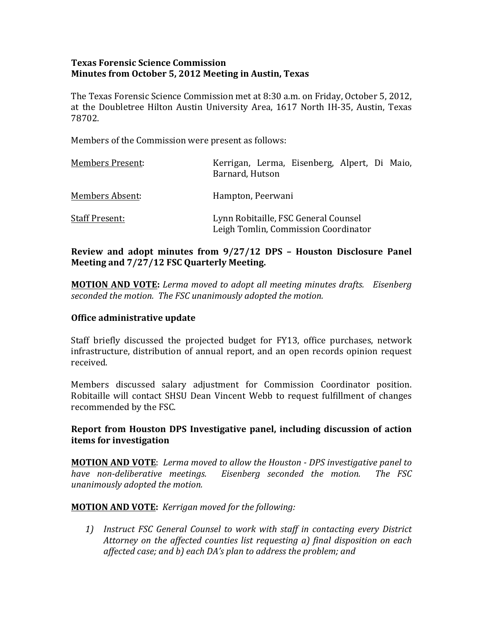### **Texas Forensic Science Commission Minutes from October 5, 2012 Meeting in Austin, Texas**

The Texas Forensic Science Commission met at 8:30 a.m. on Friday, October 5, 2012, at the Doubletree Hilton Austin University Area, 1617 North IH-35, Austin, Texas 78702. 

Members of the Commission were present as follows:

| <b>Members Present:</b> | Kerrigan, Lerma, Eisenberg, Alpert, Di Maio,<br>Barnard, Hutson              |
|-------------------------|------------------------------------------------------------------------------|
| Members Absent:         | Hampton, Peerwani                                                            |
| <b>Staff Present:</b>   | Lynn Robitaille, FSC General Counsel<br>Leigh Tomlin, Commission Coordinator |

# **Review and adopt minutes from**  $9/27/12$  **DPS - Houston Disclosure Panel Meeting and**  $7/27/12$  **FSC Quarterly Meeting.**

**MOTION AND VOTE:** Lerma moved to adopt all meeting minutes drafts. Eisenberg seconded the motion. The FSC unanimously adopted the motion.

### **Office administrative update**

Staff briefly discussed the projected budget for FY13, office purchases, network infrastructure, distribution of annual report, and an open records opinion request received. 

Members discussed salary adjustment for Commission Coordinator position. Robitaille will contact SHSU Dean Vincent Webb to request fulfillment of changes recommended by the FSC.

Report from Houston DPS Investigative panel, including discussion of action **items** for investigation

**MOTION AND VOTE:** Lerma moved to allow the Houston - DPS investigative panel to have non-deliberative meetings. Eisenberg seconded the motion. The FSC *unanimously adopted the motion.*

**MOTION AND VOTE:** *Kerrigan moved for the following:* 

1) Instruct *FSC* General Counsel to work with staff in contacting every District *Attorney* on the affected counties list requesting a) final disposition on each *affected case; and b) each DA's plan to address the problem; and*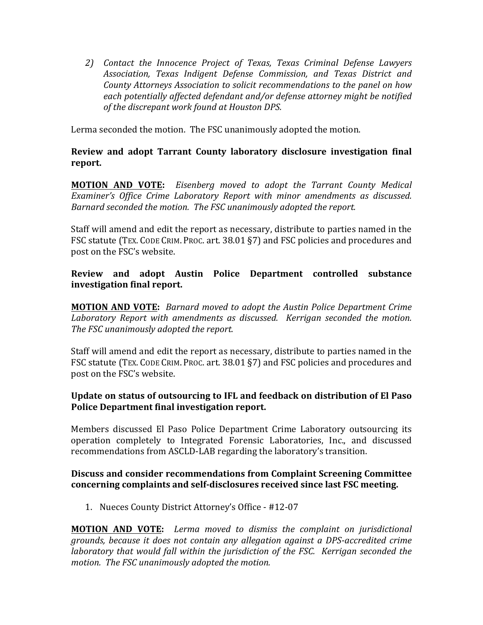*2) Contact the Innocence Project of Texas, Texas Criminal Defense Lawyers*  Association, Texas Indigent Defense Commission, and Texas District and *County Attorneys Association to solicit recommendations to the panel on how* each potentially affected defendant and/or defense attorney might be notified of the discrepant work found at Houston DPS.

Lerma seconded the motion. The FSC unanimously adopted the motion.

# **Review and adopt Tarrant County laboratory disclosure investigation final** report.

**MOTION AND VOTE:** Eisenberg moved to adopt the Tarrant County Medical Examiner's Office Crime Laboratory Report with minor amendments as discussed. *Barnard seconded the motion. The FSC unanimously adopted the report.* 

Staff will amend and edit the report as necessary, distribute to parties named in the FSC statute (TEX. CODE CRIM. PROC. art. 38.01 §7) and FSC policies and procedures and post on the FSC's website.

**Review** and adopt Austin Police Department controlled substance **investigation final report.** 

**MOTION AND VOTE:** Barnard moved to adopt the Austin Police Department Crime Laboratory Report with amendments as discussed. Kerrigan seconded the motion. The FSC unanimously adopted the report.

Staff will amend and edit the report as necessary, distribute to parties named in the FSC statute (TEX. CODE CRIM. PROC. art. 38.01 §7) and FSC policies and procedures and post on the FSC's website.

# **Update on status of outsourcing to IFL and feedback on distribution of El Paso Police Department final investigation report.**

Members discussed El Paso Police Department Crime Laboratory outsourcing its operation completely to Integrated Forensic Laboratories, Inc., and discussed recommendations from ASCLD-LAB regarding the laboratory's transition.

### **Discuss and consider recommendations from Complaint Screening Committee concerning complaints and self-disclosures received since last FSC meeting.**

1. Nueces County District Attorney's Office - #12-07

**MOTION AND VOTE:** Lerma moved to dismiss the complaint on jurisdictional *grounds, because it does not contain any allegation against a DPS-accredited crime laboratory* that would fall within the jurisdiction of the FSC. Kerrigan seconded the motion. The FSC unanimously adopted the motion.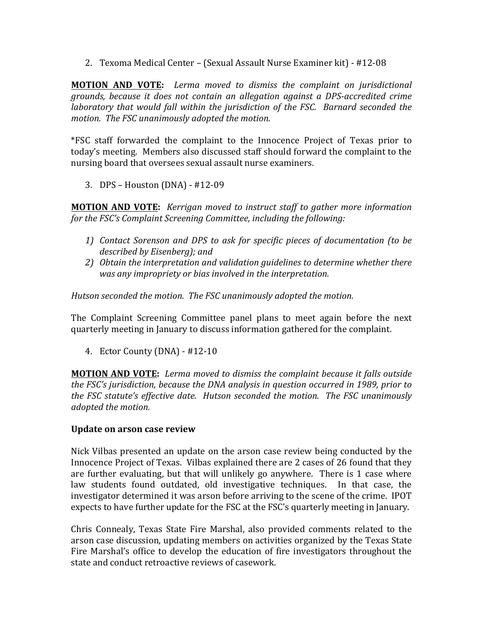2. Texoma Medical Center – (Sexual Assault Nurse Examiner kit) - #12-08

**MOTION** AND VOTE: Lerma moved to dismiss the complaint on jurisdictional grounds, because it does not contain an allegation against a DPS-accredited crime *laboratory* that would fall within the jurisdiction of the FSC. Barnard seconded the *motion.* The FSC unanimously adopted the motion.

\*FSC staff forwarded the complaint to the Innocence Project of Texas prior to today's meeting. Members also discussed staff should forward the complaint to the nursing board that oversees sexual assault nurse examiners.

3. DPS – Houston (DNA) - #12-09

**MOTION AND VOTE:** *Kerrigan moved to instruct staff to gather more information for the FSC's Complaint Screening Committee, including the following:* 

- 1) Contact Sorenson and DPS to ask for specific pieces of documentation (to be *described by Eisenberg); and*
- 2) Obtain the interpretation and validation guidelines to determine whether there *was any impropriety or bias involved in the interpretation.*

*Hutson seconded the motion. The FSC unanimously adopted the motion.* 

The Complaint Screening Committee panel plans to meet again before the next quarterly meeting in January to discuss information gathered for the complaint.

4. Ector County (DNA) - #12-10

**MOTION AND VOTE:** Lerma moved to dismiss the complaint because it falls outside *the FSC's jurisdiction, because the DNA analysis in question occurred in 1989, prior to the FSC statute's effective date. Hutson seconded the motion. The FSC unanimously adopted the motion.* 

### **Update on arson case review**

Nick Vilbas presented an update on the arson case review being conducted by the Innocence Project of Texas. Vilbas explained there are 2 cases of 26 found that they are further evaluating, but that will unlikely go anywhere. There is 1 case where law students found outdated, old investigative techniques. In that case, the investigator determined it was arson before arriving to the scene of the crime. IPOT expects to have further update for the FSC at the FSC's quarterly meeting in January.

Chris Connealy, Texas State Fire Marshal, also provided comments related to the arson case discussion, updating members on activities organized by the Texas State Fire Marshal's office to develop the education of fire investigators throughout the state and conduct retroactive reviews of casework.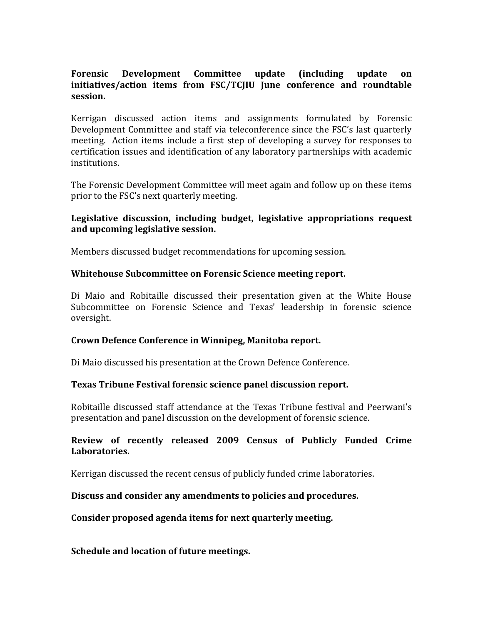# **Forensic** Development Committee update (including update on initiatives/action items from FSC/TCJIU June conference and roundtable **session.**

Kerrigan discussed action items and assignments formulated by Forensic Development Committee and staff via teleconference since the FSC's last quarterly meeting. Action items include a first step of developing a survey for responses to certification issues and identification of any laboratory partnerships with academic institutions.

The Forensic Development Committee will meet again and follow up on these items prior to the FSC's next quarterly meeting.

## Legislative discussion, including budget, legislative appropriations request and upcoming legislative session.

Members discussed budget recommendations for upcoming session.

### Whitehouse Subcommittee on Forensic Science meeting report.

Di Maio and Robitaille discussed their presentation given at the White House Subcommittee on Forensic Science and Texas' leadership in forensic science oversight. 

### Crown Defence Conference in Winnipeg, Manitoba report.

Di Maio discussed his presentation at the Crown Defence Conference.

### **Texas Tribune Festival forensic science panel discussion report.**

Robitaille discussed staff attendance at the Texas Tribune festival and Peerwani's presentation and panel discussion on the development of forensic science.

### **Review** of recently released 2009 Census of Publicly Funded Crime **Laboratories.**

Kerrigan discussed the recent census of publicly funded crime laboratories.

### Discuss and consider any amendments to policies and procedures.

Consider proposed agenda items for next quarterly meeting.

**Schedule and location of future meetings.**